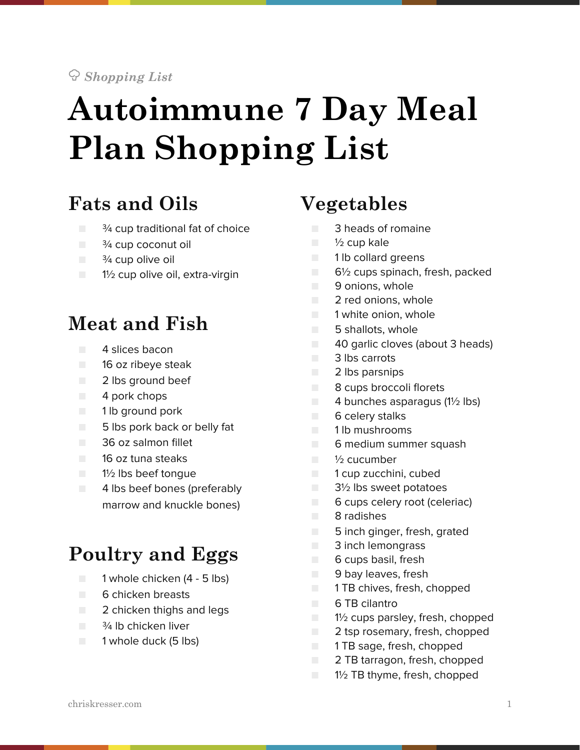#### ! *Shopping List*

# **Autoimmune 7 Day Meal Plan Shopping List**

### **Fats and Oils**

- $\Box$   $\frac{3}{4}$  cup traditional fat of choice
- $\blacksquare$   $\frac{3}{4}$  cup coconut oil
- $\Box$   $\frac{3}{4}$  cup olive oil
- 1½ cup olive oil, extra-virgin

#### **Meat and Fish**

- 4 slices bacon
- 16 oz ribeye steak
- 2 lbs ground beef
- 4 pork chops
- 1 lb ground pork
- 5 lbs pork back or belly fat
- 36 oz salmon fillet
- 16 oz tuna steaks
- 1½ lbs beef tonque
- 4 lbs beef bones (preferably marrow and knuckle bones)

# **Poultry and Eggs**

- 1 whole chicken (4 5 lbs)
- 6 chicken breasts
- 2 chicken thighs and legs
- $\blacksquare$   $\frac{3}{4}$  lb chicken liver
- 1 whole duck (5 lbs)

### **Vegetables**

- 3 heads of romaine
- $\Box$  1/2 cup kale
- 1 lb collard greens
- 6½ cups spinach, fresh, packed
- 9 onions, whole
- 2 red onions, whole
- 1 white onion, whole
- 5 shallots, whole
- 40 garlic cloves (about 3 heads)
- 3 lbs carrots
- 2 lbs parsnips
- 8 cups broccoli florets
- $\Box$  4 bunches asparagus (1<sup>1/2</sup> lbs)
- 6 celery stalks
- 1 lb mushrooms
- 6 medium summer squash
- <sup>1</sup>/<sub>2</sub> cucumber
- 1 cup zucchini, cubed
- 3½ lbs sweet potatoes
- 6 cups celery root (celeriac)
- 8 radishes
- 5 inch ginger, fresh, grated
- 3 inch lemongrass
- 6 cups basil, fresh
- 9 bay leaves, fresh
- 1 TB chives, fresh, chopped
- 6 TB cilantro
- 1½ cups parsley, fresh, chopped
- 2 tsp rosemary, fresh, chopped
- 1 TB sage, fresh, chopped
- 2 TB tarragon, fresh, chopped
- 1½ TB thyme, fresh, chopped